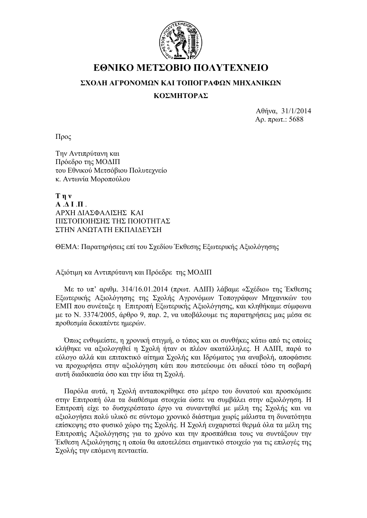

# **ΕΘΝΙΚΟ ΜΕΤΣΟΒΙΟ ΠΟΛΥΤΕΧΝΕΙΟ**

### **ΣΧΟΛΗ ΑΓΡΟΝΟΜΩΝ ΚΑΙ ΤΟΠΟΓΡΑΦΩΝ ΜΗΧΑΝΙΚΩΝ**

### **ΚΟΣΜΗΤΟΡΑΣ**

Αθήνα, 31/1/2014 Αρ. πρωτ.: 5688

Προς

Την Αντιπρύτανη και Πρόεδρο της ΜΟΔΙΠ του Εθνικού Μετσόβιου Πολυτεχνείο κ. Αντωνία Μοροπούλου

**Την Α** ΛΙΠ ΑΡΧΗ ΔΙΑΣΦΑΛΙΣΗΣ ΚΑΙ ΠΙΣΤΟΠΟΙΗΣΗΣ ΤΗΣ ΠΟΙΟΤΗΤΑΣ ΣΤΗΝ ΑΝΩΤΑΤΗ ΕΚΠΑΙΔΕΥΣΗ

ΘΕΜΑ: Παρατηρήσεις επί του Σχεδίου Έκθεσης Εξωτερικής Αξιολόγησης

Αξιότιμη κα Αντιπρύτανη και Πρόεδρε της ΜΟΔΙΠ

Με το υπ' αριθμ. 314/16.01.2014 (πρωτ. ΑΔΙΠ) λάβαμε «Σχέδιο» της Έκθεσης Εξωτερικής Αξιολόγησης της Σχολής Αγρονόμων Τοπογράφων Μηχανικών του ΕΜΠ που συνέταξε η Επιτροπή Εξωτερικής Αξιολόγησης, και κληθήκαμε σύμφωνα με το Ν. 3374/2005, άρθρο 9, παρ. 2, να υποβάλουμε τις παρατηρήσεις μας μέσα σε προθεσμία δεκαπέντε ημερών.

Όπως ενθυμείστε, η χρονική στιγμή, ο τόπος και οι συνθήκες κάτω από τις οποίες κλήθηκε να αξιολογηθεί η Σχολή ήταν οι πλέον ακατάλληλες. Η ΑΔΙΠ, παρά το εύλογο αλλά και επιτακτικό αίτημα Σχολής και Ιδρύματος για αναβολή, αποφάσισε να προχωρήσει στην αξιολόγηση κάτι που πιστεύουμε ότι αδικεί τόσο τη σοβαρή αυτή διαδικασία όσο και την ίδια τη Σχολή.

Παρόλα αυτά, η Σχολή ανταποκρίθηκε στο μέτρο του δυνατού και προσκόμισε στην Επιτροπή όλα τα διαθέσιμα στοιχεία ώστε να συμβάλει στην αξιολόγηση. Η Επιτροπή είχε το δυσχερέστατο έργο να συναντηθεί με μέλη της Σχολής και να αξιολογήσει πολύ υλικό σε σύντομο χρονικό διάστημα χωρίς μάλιστα τη δυνατότητα επίσκεψης στο φυσικό χώρο της Σχολής. Η Σχολή ευχαριστεί θερμά όλα τα μέλη της Επιτροπής Αξιολόγησης για το χρόνο και την προσπάθεια τους να συντάξουν την Έκθεση Αξιολόγησης η οποία θα αποτελέσει σημαντικό στοιχείο για τις επιλογές της Σχολής την επόμενη πενταετία.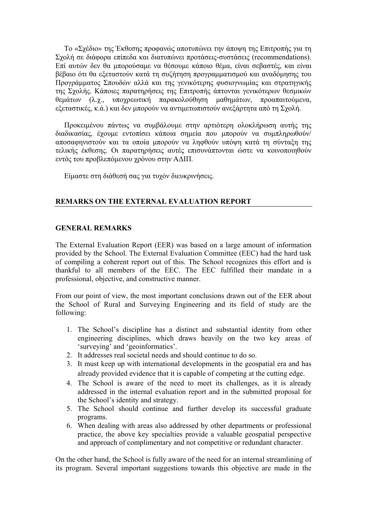Το «Σχέδιο» της Έκθεσης προφανώς αποτυπώνει την άποψη της Επιτροπής για τη Σχολή σε διάφορα επίπεδα και διατυπώνει προτάσεις-συστάσεις (recommendations). Επί αυτών δεν θα μπορούσαμε να θέσουμε κάποιο θέμα, είναι σεβαστές, και είναι βέβαιο ότι θα εξεταστούν κατά τη συζήτηση προγραμματισμού και αναδόμησης του Προγράμματος Σπουδών αλλά και της γενικότερης φυσιογνωμίας και στρατηγικής της Σχολής. Κάποιες παρατηρήσεις της Επιτροπής άπτονται γενικότερων θεσμικών θεμάτων (λ.χ., υποχρεωτική παρακολούθηση μαθημάτων, προαπαιτούμενα, εξεταστικές, κ.ά.) και δεν μπορούν να αντιμετωπιστούν ανεξάρτητα από τη Σχολή.

Προκειμένου πάντως να συμβάλουμε στην αρτιότερη ολοκλήρωση αυτής της διαδικασίας, έχουμε εντοπίσει κάποια σημεία που μπορούν να συμπληρωθούν/ αποσαφηνιστούν και τα οποία μπορούν να ληφθούν υπόψη κατά τη σύνταξη της τελικής έκθεσης. Οι παρατηρήσεις αυτές επισυνάπτονται ώστε να κοινοποιηθούν εντός του προβλεπόμενου χρόνου στην ΑΔΙΠ.

Είμαστε στη διάθεσή σας για τυχόν διευκρινήσεις.

#### **REMARKS ON THE EXTERNAL EVALUATION REPORT**

#### **GENERAL REMARKS**

The External Evaluation Report (EER) was based on a large amount of information provided by the School. The External Evaluation Committee (EEC) had the hard task of compiling a coherent report out of this. The School recognizes this effort and is thankful to all members of the EEC. The EEC fulfilled their mandate in a professional, objective, and constructive manner.

From our point of view, the most important conclusions drawn out of the EER about the School of Rural and Surveying Engineering and its field of study are the following:

- 1. The School's discipline has a distinct and substantial identity from other engineering disciplines, which draws heavily on the two key areas of 'surveying' and 'geoinformatics'.
- 2. It addresses real societal needs and should continue to do so.
- 3. It must keep up with international developments in the geospatial era and has already provided evidence that it is capable of competing at the cutting edge.
- 4. The School is aware of the need to meet its challenges, as it is already addressed in the internal evaluation report and in the submitted proposal for the School's identity and strategy.
- 5. The School should continue and further develop its successful graduate programs.
- 6. When dealing with areas also addressed by other departments or professional practice, the above key specialties provide a valuable geospatial perspective and approach of complimentary and not competitive or redundant character.

On the other hand, the School is fully aware of the need for an internal streamlining of its program. Several important suggestions towards this objective are made in the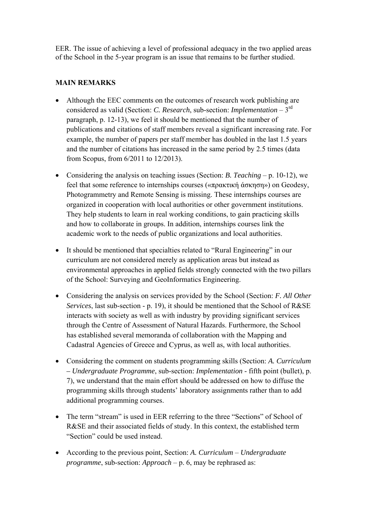EER. The issue of achieving a level of professional adequacy in the two applied areas of the School in the 5-year program is an issue that remains to be further studied.

### **MAIN REMARKS**

- Although the EEC comments on the outcomes of research work publishing are considered as valid (Section: *C. Research*, sub-section: *Implementation* – 3rd paragraph, p. 12-13), we feel it should be mentioned that the number of publications and citations of staff members reveal a significant increasing rate. For example, the number of papers per staff member has doubled in the last 1.5 years and the number of citations has increased in the same period by 2.5 times (data from Scopus, from 6/2011 to 12/2013).
- Considering the analysis on teaching issues (Section: *B. Teaching* p. 10-12), we feel that some reference to internships courses («πρακτική άσκηση») on Geodesy, Photogrammetry and Remote Sensing is missing. These internships courses are organized in cooperation with local authorities or other government institutions. They help students to learn in real working conditions, to gain practicing skills and how to collaborate in groups. In addition, internships courses link the academic work to the needs of public organizations and local authorities.
- It should be mentioned that specialties related to "Rural Engineering" in our curriculum are not considered merely as application areas but instead as environmental approaches in applied fields strongly connected with the two pillars of the School: Surveying and GeoInformatics Engineering.
- Considering the analysis on services provided by the School (Section: *F. All Other Services*, last sub-section - p. 19), it should be mentioned that the School of R&SE interacts with society as well as with industry by providing significant services through the Centre of Assessment of Natural Hazards. Furthermore, the School has established several memoranda of collaboration with the Mapping and Cadastral Agencies of Greece and Cyprus, as well as, with local authorities.
- Considering the comment on students programming skills (Section: *A. Curriculum – Undergraduate Programme*, sub-section: *Implementation* - fifth point (bullet), p. 7), we understand that the main effort should be addressed on how to diffuse the programming skills through students' laboratory assignments rather than to add additional programming courses.
- The term "stream" is used in EER referring to the three "Sections" of School of R&SE and their associated fields of study. In this context, the established term "Section" could be used instead.
- According to the previous point, Section: *A. Curriculum Undergraduate programme*, sub-section: *Approach* – p. 6, may be rephrased as: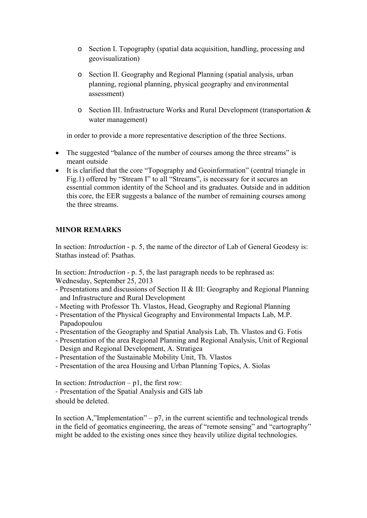- o Section I. Topography (spatial data acquisition, handling, processing and geovisualization)
- o Section II. Geography and Regional Planning (spatial analysis, urban planning, regional planning, physical geography and environmental assessment)
- o Section III. Infrastructure Works and Rural Development (transportation & water management)

in order to provide a more representative description of the three Sections.

- The suggested "balance of the number of courses among the three streams" is meant outside
- It is clarified that the core "Topography and Geoinformation" (central triangle in Fig.1) offered by "Stream I" to all "Streams", is necessary for it secures an essential common identity of the School and its graduates. Outside and in addition this core, the EER suggests a balance of the number of remaining courses among the three streams.

## **MINOR REMARKS**

In section: *Introduction* - p. 5, the name of the director of Lab of General Geodesy is: Stathas instead of: Psathas.

In section: *Introduction* - p. 5, the last paragraph needs to be rephrased as: Wednesday, September 25, 2013

- Presentations and discussions of Section II & III: Geography and Regional Planning and Infrastructure and Rural Development
- Meeting with Professor Th. Vlastos, Head, Geography and Regional Planning
- Presentation of the Physical Geography and Environmental Impacts Lab, M.P. Papadopoulou
- Presentation of the Geography and Spatial Analysis Lab, Th. Vlastos and G. Fotis
- Presentation of the area Regional Planning and Regional Analysis, Unit of Regional Design and Regional Development, A. Stratigea
- Presentation of the Sustainable Mobility Unit, Th. Vlastos
- Presentation of the area Housing and Urban Planning Topics, A. Siolas

In section: *Introduction* – p1, the first row:

‐ Presentation of the Spatial Analysis and GIS lab should be deleted.

In section A, "Implementation" –  $p7$ , in the current scientific and technological trends in the field of geomatics engineering, the areas of "remote sensing" and "cartography" might be added to the existing ones since they heavily utilize digital technologies.